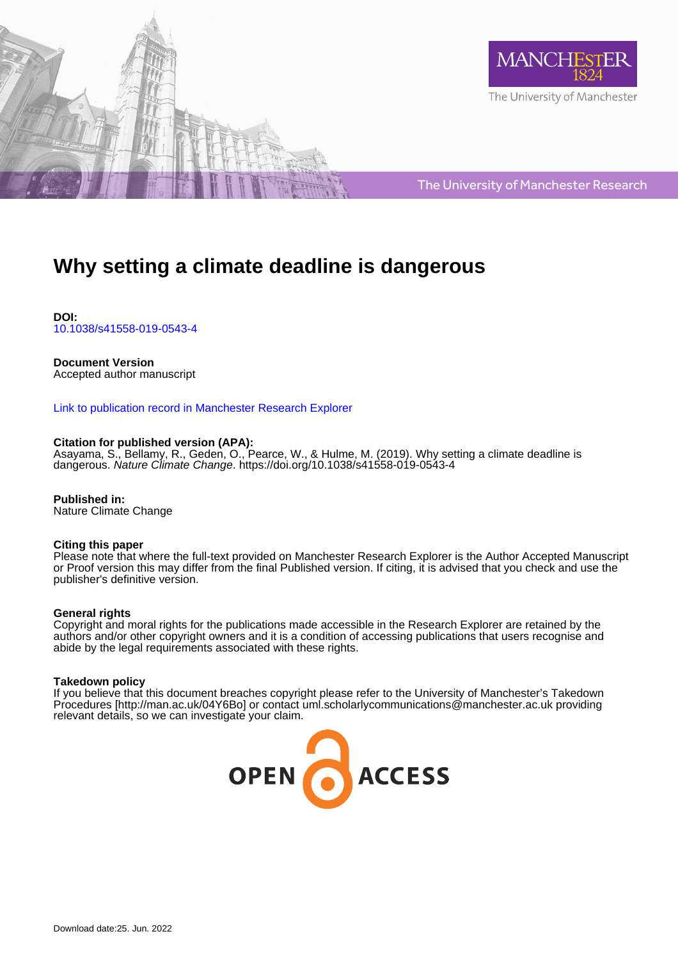



The University of Manchester Research

# **Why setting a climate deadline is dangerous**

**DOI:** [10.1038/s41558-019-0543-4](https://doi.org/10.1038/s41558-019-0543-4)

## **Document Version**

Accepted author manuscript

## [Link to publication record in Manchester Research Explorer](https://www.research.manchester.ac.uk/portal/en/publications/why-setting-a-climate-deadline-is-dangerous(e8158377-1cc3-4d59-8283-71a7a06e0672).html)

#### **Citation for published version (APA):**

Asayama, S.[, Bellamy, R.](/portal/rob.bellamy.html), Geden, O., Pearce, W., & Hulme, M. (2019). [Why setting a climate deadline is](https://www.research.manchester.ac.uk/portal/en/publications/why-setting-a-climate-deadline-is-dangerous(e8158377-1cc3-4d59-8283-71a7a06e0672).html) [dangerous](https://www.research.manchester.ac.uk/portal/en/publications/why-setting-a-climate-deadline-is-dangerous(e8158377-1cc3-4d59-8283-71a7a06e0672).html). Nature Climate Change. <https://doi.org/10.1038/s41558-019-0543-4>

**Published in:** Nature Climate Change

#### **Citing this paper**

Please note that where the full-text provided on Manchester Research Explorer is the Author Accepted Manuscript or Proof version this may differ from the final Published version. If citing, it is advised that you check and use the publisher's definitive version.

#### **General rights**

Copyright and moral rights for the publications made accessible in the Research Explorer are retained by the authors and/or other copyright owners and it is a condition of accessing publications that users recognise and abide by the legal requirements associated with these rights.

#### **Takedown policy**

If you believe that this document breaches copyright please refer to the University of Manchester's Takedown Procedures [http://man.ac.uk/04Y6Bo] or contact uml.scholarlycommunications@manchester.ac.uk providing relevant details, so we can investigate your claim.

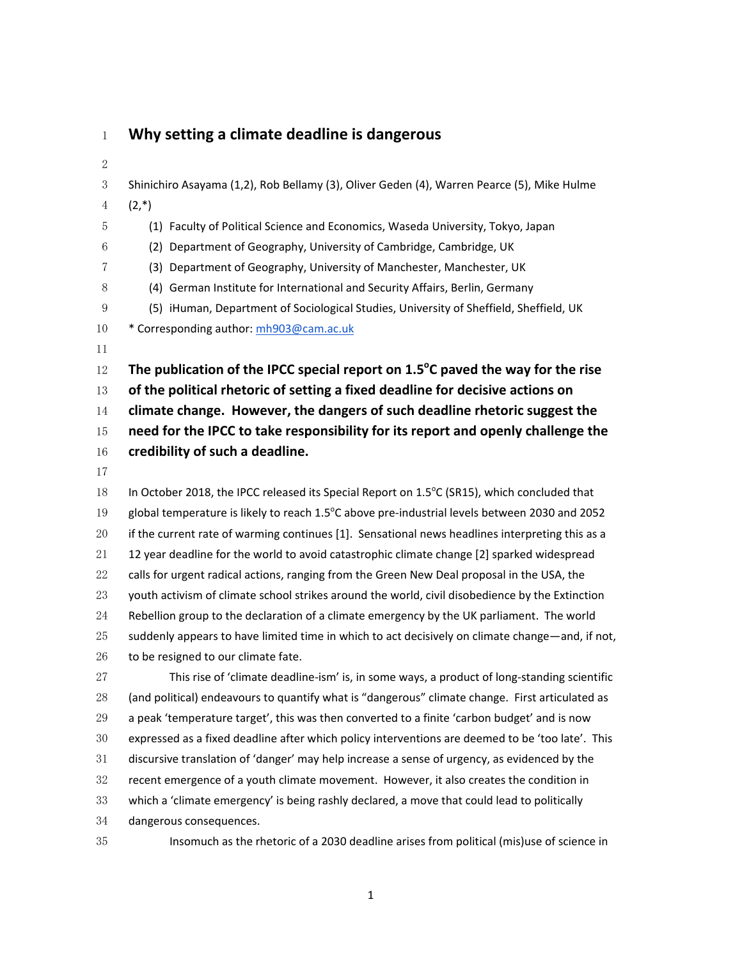## **Why setting a climate deadline is dangerous**

 Shinichiro Asayama (1,2), Rob Bellamy (3), Oliver Geden (4), Warren Pearce (5), Mike Hulme  $4 (2,*)$ (1) Faculty of Political Science and Economics, Waseda University, Tokyo, Japan (2) Department of Geography, University of Cambridge, Cambridge, UK (3) Department of Geography, University of Manchester, Manchester, UK (4) German Institute for International and Security Affairs, Berlin, Germany (5) iHuman, Department of Sociological Studies, University of Sheffield, Sheffield, UK 10 \* Corresponding author: mh903@cam.ac.uk 12 The publication of the IPCC special report on 1.5<sup>o</sup>C paved the way for the rise **of the political rhetoric of setting a fixed deadline for decisive actions on climate change. However, the dangers of such deadline rhetoric suggest the need for the IPCC to take responsibility for its report and openly challenge the credibility of such a deadline.** 18 In October 2018, the IPCC released its Special Report on  $1.5^{\circ}$ C (SR15), which concluded that 19 global temperature is likely to reach  $1.5^{\circ}$ C above pre-industrial levels between 2030 and 2052 if the current rate of warming continues [1]. Sensational news headlines interpreting this as a 12 year deadline for the world to avoid catastrophic climate change [2] sparked widespread 22 calls for urgent radical actions, ranging from the Green New Deal proposal in the USA, the youth activism of climate school strikes around the world, civil disobedience by the Extinction Rebellion group to the declaration of a climate emergency by the UK parliament. The world suddenly appears to have limited time in which to act decisively on climate change—and, if not, 26 to be resigned to our climate fate. This rise of 'climate deadline-ism' is, in some ways, a product of long-standing scientific (and political) endeavours to quantify what is "dangerous" climate change. First articulated as a peak 'temperature target', this was then converted to a finite 'carbon budget' and is now expressed as a fixed deadline after which policy interventions are deemed to be 'too late'. This discursive translation of 'danger' may help increase a sense of urgency, as evidenced by the recent emergence of a youth climate movement. However, it also creates the condition in which a 'climate emergency' is being rashly declared, a move that could lead to politically dangerous consequences. Insomuch as the rhetoric of a 2030 deadline arises from political (mis)use of science in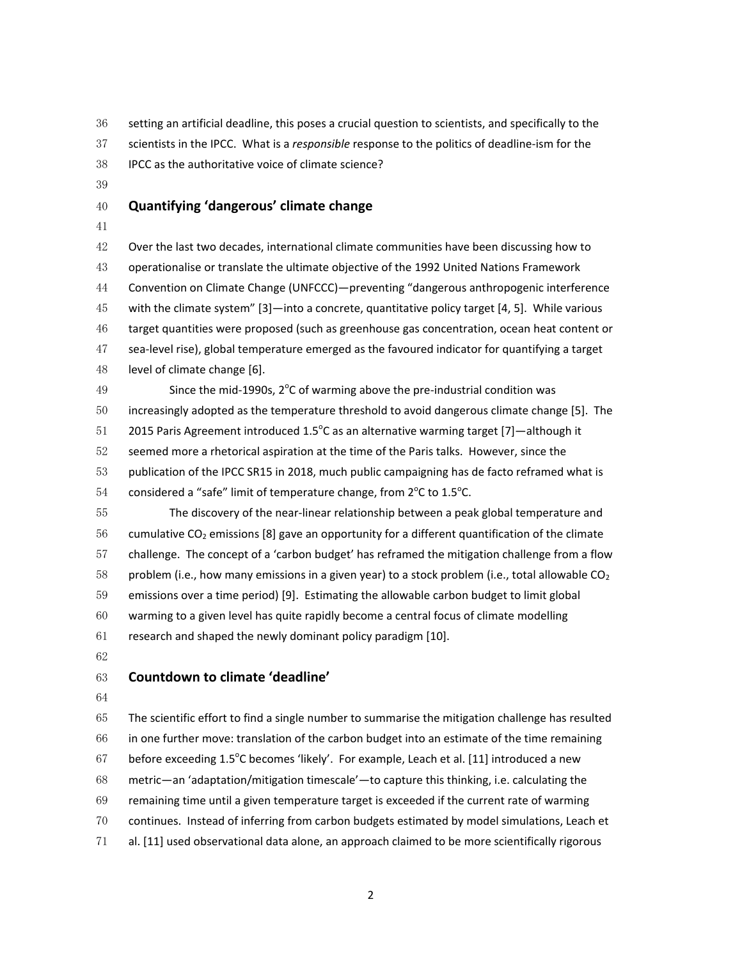setting an artificial deadline, this poses a crucial question to scientists, and specifically to the scientists in the IPCC. What is a *responsible* response to the politics of deadline-ism for the

IPCC as the authoritative voice of climate science?

## **Quantifying 'dangerous' climate change**

Over the last two decades, international climate communities have been discussing how to operationalise or translate the ultimate objective of the 1992 United Nations Framework Convention on Climate Change (UNFCCC)—preventing "dangerous anthropogenic interference with the climate system" [3]—into a concrete, quantitative policy target [4, 5]. While various target quantities were proposed (such as greenhouse gas concentration, ocean heat content or sea-level rise), global temperature emerged as the favoured indicator for quantifying a target level of climate change [6].

49 Since the mid-1990s,  $2^{\circ}$ C of warming above the pre-industrial condition was increasingly adopted as the temperature threshold to avoid dangerous climate change [5]. The 51 2015 Paris Agreement introduced 1.5 $\degree$ C as an alternative warming target [7]—although it seemed more a rhetorical aspiration at the time of the Paris talks. However, since the publication of the IPCC SR15 in 2018, much public campaigning has de facto reframed what is 54 considered a "safe" limit of temperature change, from  $2^{\circ}$ C to 1.5 $^{\circ}$ C.

The discovery of the near-linear relationship between a peak global temperature and 56 cumulative CO<sub>2</sub> emissions [8] gave an opportunity for a different quantification of the climate challenge. The concept of a 'carbon budget' has reframed the mitigation challenge from a flow 58 problem (i.e., how many emissions in a given year) to a stock problem (i.e., total allowable  $CO<sub>2</sub>$ emissions over a time period) [9]. Estimating the allowable carbon budget to limit global warming to a given level has quite rapidly become a central focus of climate modelling research and shaped the newly dominant policy paradigm [10].

## **Countdown to climate 'deadline'**

The scientific effort to find a single number to summarise the mitigation challenge has resulted in one further move: translation of the carbon budget into an estimate of the time remaining 67 before exceeding  $1.5^{\circ}$ C becomes 'likely'. For example, Leach et al. [11] introduced a new metric—an 'adaptation/mitigation timescale'—to capture this thinking, i.e. calculating the remaining time until a given temperature target is exceeded if the current rate of warming continues. Instead of inferring from carbon budgets estimated by model simulations, Leach et al. [11] used observational data alone, an approach claimed to be more scientifically rigorous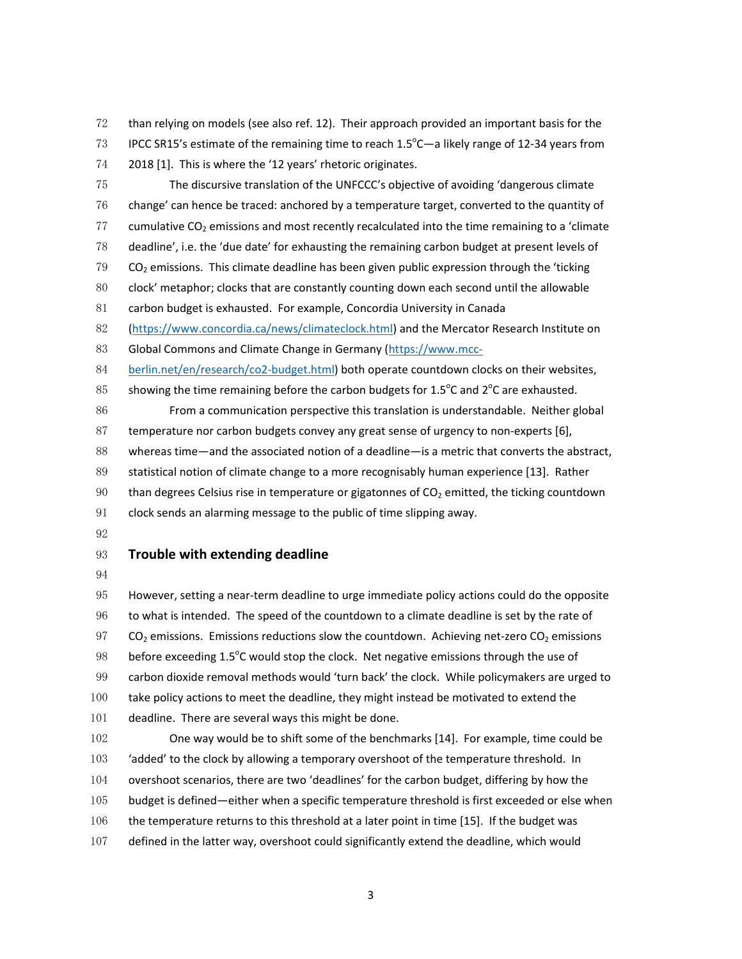than relying on models (see also ref. 12). Their approach provided an important basis for the IPCC SR15's estimate of the remaining time to reach 1.5 $\degree$ C—a likely range of 12-34 years from

2018 [1]. This is where the '12 years' rhetoric originates.

The discursive translation of the UNFCCC's objective of avoiding 'dangerous climate change' can hence be traced: anchored by a temperature target, converted to the quantity of 77 cumulative  $CO<sub>2</sub>$  emissions and most recently recalculated into the time remaining to a 'climate' deadline', i.e. the 'due date' for exhausting the remaining carbon budget at present levels of CO<sub>2</sub> emissions. This climate deadline has been given public expression through the 'ticking' clock' metaphor; clocks that are constantly counting down each second until the allowable carbon budget is exhausted. For example, Concordia University in Canada (https://www.concordia.ca/news/climateclock.html) and the Mercator Research Institute on 83 Global Commons and Climate Change in Germany (https://www.mcc-berlin.net/en/research/co2-budget.html) both operate countdown clocks on their websites, 85 showing the time remaining before the carbon budgets for  $1.5^{\circ}$ C and  $2^{\circ}$ C are exhausted. From a communication perspective this translation is understandable. Neither global temperature nor carbon budgets convey any great sense of urgency to non-experts [6], whereas time—and the associated notion of a deadline—is a metric that converts the abstract, statistical notion of climate change to a more recognisably human experience [13]. Rather 90 than degrees Celsius rise in temperature or gigatonnes of  $CO<sub>2</sub>$  emitted, the ticking countdown clock sends an alarming message to the public of time slipping away.

## **Trouble with extending deadline**

However, setting a near-term deadline to urge immediate policy actions could do the opposite to what is intended. The speed of the countdown to a climate deadline is set by the rate of  $CO<sub>2</sub>$  emissions. Emissions reductions slow the countdown. Achieving net-zero  $CO<sub>2</sub>$  emissions 98 before exceeding  $1.5^{\circ}$ C would stop the clock. Net negative emissions through the use of carbon dioxide removal methods would 'turn back' the clock. While policymakers are urged to take policy actions to meet the deadline, they might instead be motivated to extend the deadline. There are several ways this might be done. One way would be to shift some of the benchmarks [14]. For example, time could be

103 'added' to the clock by allowing a temporary overshoot of the temperature threshold. In

- overshoot scenarios, there are two 'deadlines' for the carbon budget, differing by how the
- budget is defined—either when a specific temperature threshold is first exceeded or else when
- 106 the temperature returns to this threshold at a later point in time [15]. If the budget was
- defined in the latter way, overshoot could significantly extend the deadline, which would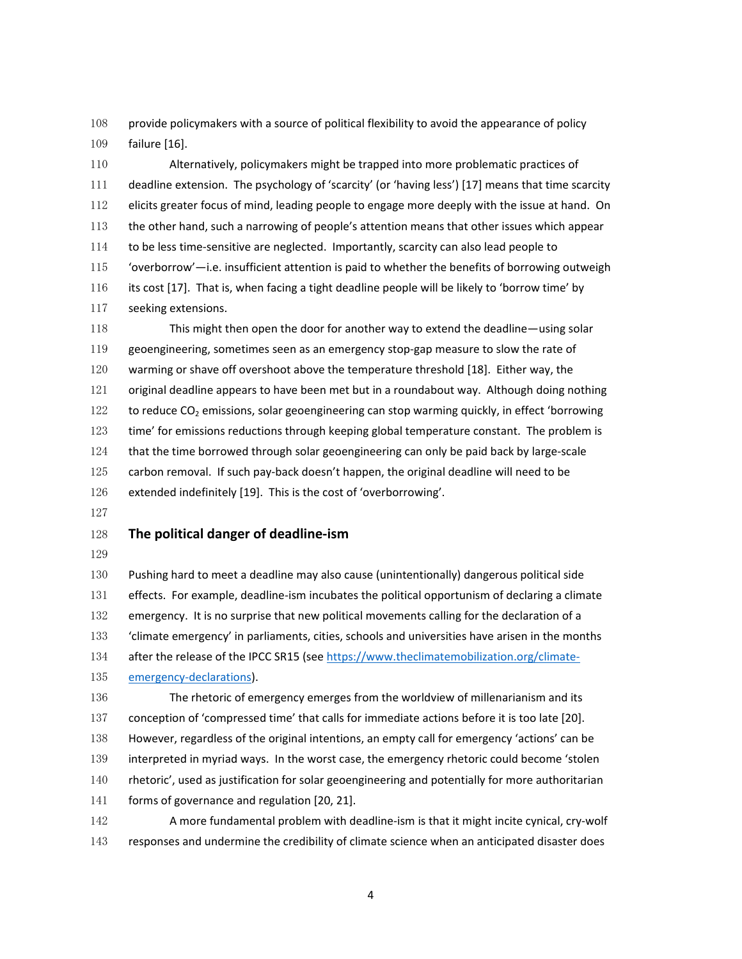provide policymakers with a source of political flexibility to avoid the appearance of policy failure [16].

Alternatively, policymakers might be trapped into more problematic practices of deadline extension. The psychology of 'scarcity' (or 'having less') [17] means that time scarcity elicits greater focus of mind, leading people to engage more deeply with the issue at hand. On the other hand, such a narrowing of people's attention means that other issues which appear to be less time-sensitive are neglected. Importantly, scarcity can also lead people to 115 'overborrow'—i.e. insufficient attention is paid to whether the benefits of borrowing outweigh its cost [17]. That is, when facing a tight deadline people will be likely to 'borrow time' by seeking extensions.

This might then open the door for another way to extend the deadline—using solar geoengineering, sometimes seen as an emergency stop-gap measure to slow the rate of warming or shave off overshoot above the temperature threshold [18]. Either way, the original deadline appears to have been met but in a roundabout way. Although doing nothing 122 to reduce  $CO<sub>2</sub>$  emissions, solar geoengineering can stop warming quickly, in effect 'borrowing 123 time' for emissions reductions through keeping global temperature constant. The problem is that the time borrowed through solar geoengineering can only be paid back by large-scale carbon removal. If such pay-back doesn't happen, the original deadline will need to be extended indefinitely [19]. This is the cost of 'overborrowing'.

#### **The political danger of deadline-ism**

Pushing hard to meet a deadline may also cause (unintentionally) dangerous political side 131 effects. For example, deadline-ism incubates the political opportunism of declaring a climate 132 emergency. It is no surprise that new political movements calling for the declaration of a 'climate emergency' in parliaments, cities, schools and universities have arisen in the months 134 after the release of the IPCC SR15 (see https://www.theclimatemobilization.org/climate-emergency-declarations). The rhetoric of emergency emerges from the worldview of millenarianism and its

conception of 'compressed time' that calls for immediate actions before it is too late [20].

However, regardless of the original intentions, an empty call for emergency 'actions' can be

interpreted in myriad ways. In the worst case, the emergency rhetoric could become 'stolen

rhetoric', used as justification for solar geoengineering and potentially for more authoritarian

141 forms of governance and regulation [20, 21].

A more fundamental problem with deadline-ism is that it might incite cynical, cry-wolf responses and undermine the credibility of climate science when an anticipated disaster does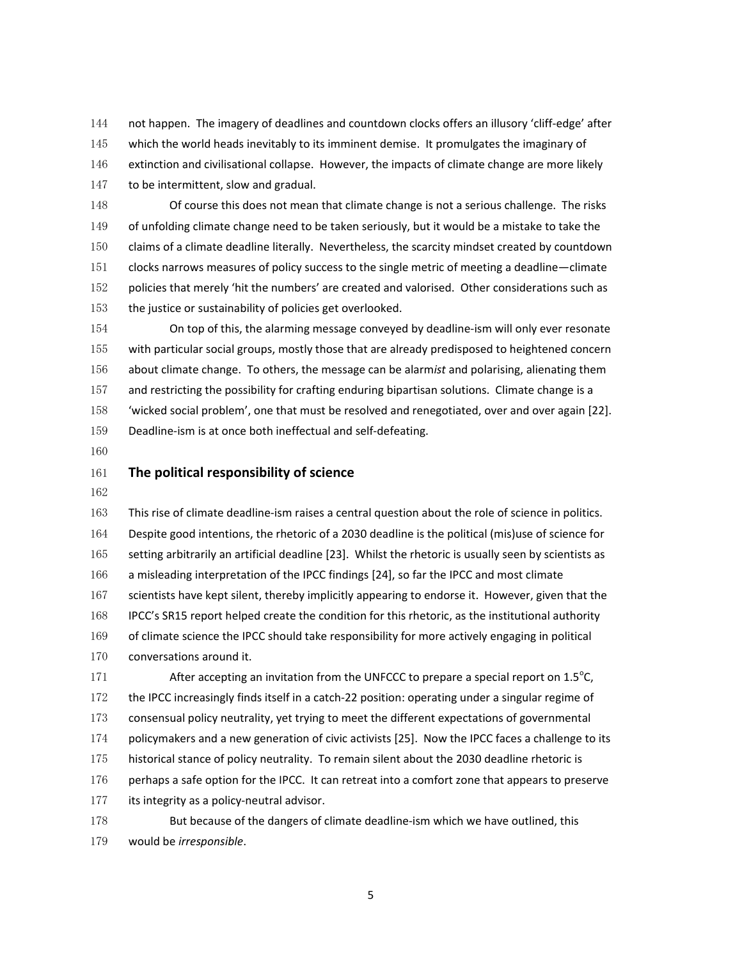not happen. The imagery of deadlines and countdown clocks offers an illusory 'cliff-edge' after 145 which the world heads inevitably to its imminent demise. It promulgates the imaginary of extinction and civilisational collapse. However, the impacts of climate change are more likely 147 to be intermittent, slow and gradual.

Of course this does not mean that climate change is not a serious challenge. The risks of unfolding climate change need to be taken seriously, but it would be a mistake to take the claims of a climate deadline literally. Nevertheless, the scarcity mindset created by countdown clocks narrows measures of policy success to the single metric of meeting a deadline—climate policies that merely 'hit the numbers' are created and valorised. Other considerations such as the justice or sustainability of policies get overlooked.

On top of this, the alarming message conveyed by deadline-ism will only ever resonate with particular social groups, mostly those that are already predisposed to heightened concern about climate change. To others, the message can be alarm*ist* and polarising, alienating them 157 and restricting the possibility for crafting enduring bipartisan solutions. Climate change is a 'wicked social problem', one that must be resolved and renegotiated, over and over again [22]. Deadline-ism is at once both ineffectual and self-defeating.

## **The political responsibility of science**

This rise of climate deadline-ism raises a central question about the role of science in politics. Despite good intentions, the rhetoric of a 2030 deadline is the political (mis)use of science for setting arbitrarily an artificial deadline [23]. Whilst the rhetoric is usually seen by scientists as a misleading interpretation of the IPCC findings [24], so far the IPCC and most climate 167 scientists have kept silent, thereby implicitly appearing to endorse it. However, given that the IPCC's SR15 report helped create the condition for this rhetoric, as the institutional authority of climate science the IPCC should take responsibility for more actively engaging in political 170 conversations around it.

171 After accepting an invitation from the UNFCCC to prepare a special report on  $1.5^{\circ}$ C, the IPCC increasingly finds itself in a catch-22 position: operating under a singular regime of consensual policy neutrality, yet trying to meet the different expectations of governmental 174 policymakers and a new generation of civic activists [25]. Now the IPCC faces a challenge to its historical stance of policy neutrality. To remain silent about the 2030 deadline rhetoric is 176 perhaps a safe option for the IPCC. It can retreat into a comfort zone that appears to preserve 177 its integrity as a policy-neutral advisor. But because of the dangers of climate deadline-ism which we have outlined, this

would be *irresponsible*.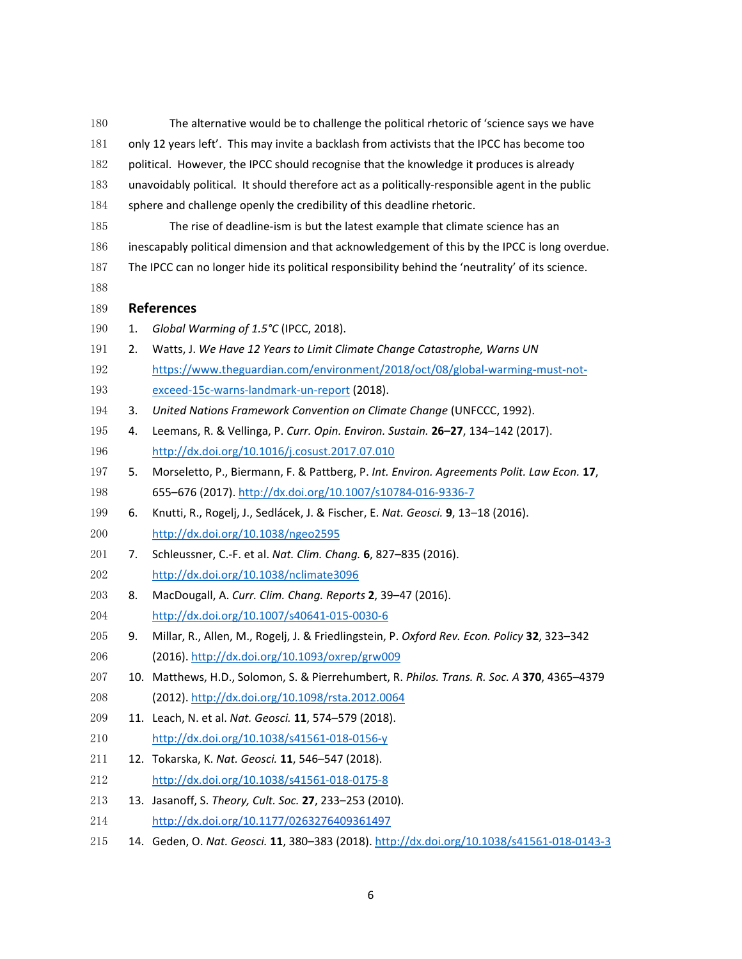| 180 | The alternative would be to challenge the political rhetoric of 'science says we have           |                                                                                                  |
|-----|-------------------------------------------------------------------------------------------------|--------------------------------------------------------------------------------------------------|
| 181 | only 12 years left'. This may invite a backlash from activists that the IPCC has become too     |                                                                                                  |
| 182 | political. However, the IPCC should recognise that the knowledge it produces is already         |                                                                                                  |
| 183 | unavoidably political. It should therefore act as a politically-responsible agent in the public |                                                                                                  |
| 184 | sphere and challenge openly the credibility of this deadline rhetoric.                          |                                                                                                  |
| 185 |                                                                                                 | The rise of deadline-ism is but the latest example that climate science has an                   |
| 186 | inescapably political dimension and that acknowledgement of this by the IPCC is long overdue.   |                                                                                                  |
| 187 |                                                                                                 | The IPCC can no longer hide its political responsibility behind the 'neutrality' of its science. |
| 188 |                                                                                                 |                                                                                                  |
| 189 |                                                                                                 | <b>References</b>                                                                                |
| 190 | 1.                                                                                              | Global Warming of 1.5°C (IPCC, 2018).                                                            |
| 191 | 2.                                                                                              | Watts, J. We Have 12 Years to Limit Climate Change Catastrophe, Warns UN                         |
| 192 |                                                                                                 | https://www.theguardian.com/environment/2018/oct/08/global-warming-must-not-                     |
| 193 |                                                                                                 | exceed-15c-warns-landmark-un-report (2018).                                                      |
| 194 | 3.                                                                                              | United Nations Framework Convention on Climate Change (UNFCCC, 1992).                            |
| 195 | 4.                                                                                              | Leemans, R. & Vellinga, P. Curr. Opin. Environ. Sustain. 26-27, 134-142 (2017).                  |
| 196 |                                                                                                 | http://dx.doi.org/10.1016/j.cosust.2017.07.010                                                   |
| 197 | 5.                                                                                              | Morseletto, P., Biermann, F. & Pattberg, P. Int. Environ. Agreements Polit. Law Econ. 17,        |
| 198 |                                                                                                 | 655-676 (2017). http://dx.doi.org/10.1007/s10784-016-9336-7                                      |
| 199 | 6.                                                                                              | Knutti, R., Rogelj, J., Sedlácek, J. & Fischer, E. Nat. Geosci. 9, 13-18 (2016).                 |
| 200 |                                                                                                 | http://dx.doi.org/10.1038/ngeo2595                                                               |
| 201 | 7.                                                                                              | Schleussner, C.-F. et al. Nat. Clim. Chang. 6, 827-835 (2016).                                   |
| 202 |                                                                                                 | http://dx.doi.org/10.1038/nclimate3096                                                           |
| 203 | 8.                                                                                              | MacDougall, A. Curr. Clim. Chang. Reports 2, 39-47 (2016).                                       |
| 204 |                                                                                                 | http://dx.doi.org/10.1007/s40641-015-0030-6                                                      |
| 205 | 9.                                                                                              | Millar, R., Allen, M., Rogelj, J. & Friedlingstein, P. Oxford Rev. Econ. Policy 32, 323-342      |
| 206 |                                                                                                 | (2016). http://dx.doi.org/10.1093/oxrep/grw009                                                   |
| 207 |                                                                                                 | 10. Matthews, H.D., Solomon, S. & Pierrehumbert, R. Philos. Trans. R. Soc. A 370, 4365-4379      |
| 208 |                                                                                                 | (2012). http://dx.doi.org/10.1098/rsta.2012.0064                                                 |
| 209 |                                                                                                 | 11. Leach, N. et al. Nat. Geosci. 11, 574-579 (2018).                                            |
| 210 |                                                                                                 | http://dx.doi.org/10.1038/s41561-018-0156-y                                                      |
| 211 |                                                                                                 | 12. Tokarska, K. Nat. Geosci. 11, 546-547 (2018).                                                |
| 212 |                                                                                                 | http://dx.doi.org/10.1038/s41561-018-0175-8                                                      |
| 213 |                                                                                                 | 13. Jasanoff, S. Theory, Cult. Soc. 27, 233-253 (2010).                                          |
| 214 |                                                                                                 | http://dx.doi.org/10.1177/0263276409361497                                                       |
| 01E |                                                                                                 | $Caasii 11.200.202(2010)$ $http://du/dci.org/10.1020$                                            |

14. Geden, O. *Nat. Geosci.* **11**, 380–383 (2018). http://dx.doi.org/10.1038/s41561-018-0143-3